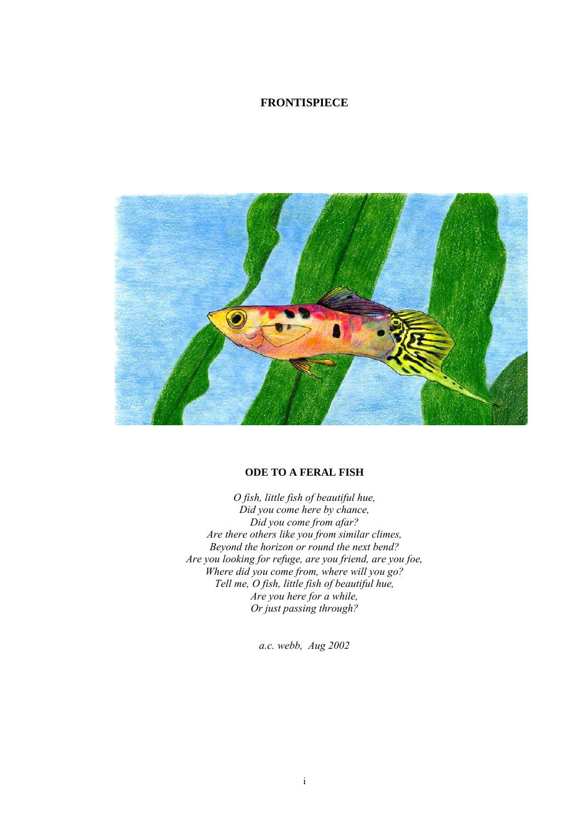### **FRONTISPIECE**



### **ODE TO A FERAL FISH**

*O fish, little fish of beautiful hue, Did you come here by chance, Did you come from afar? Are there others like you from similar climes, Beyond the horizon or round the next bend? Are you looking for refuge, are you friend, are you foe, Where did you come from, where will you go? Tell me, O fish, little fish of beautiful hue, Are you here for a while, Or just passing through?* 

*a.c. webb, Aug 2002*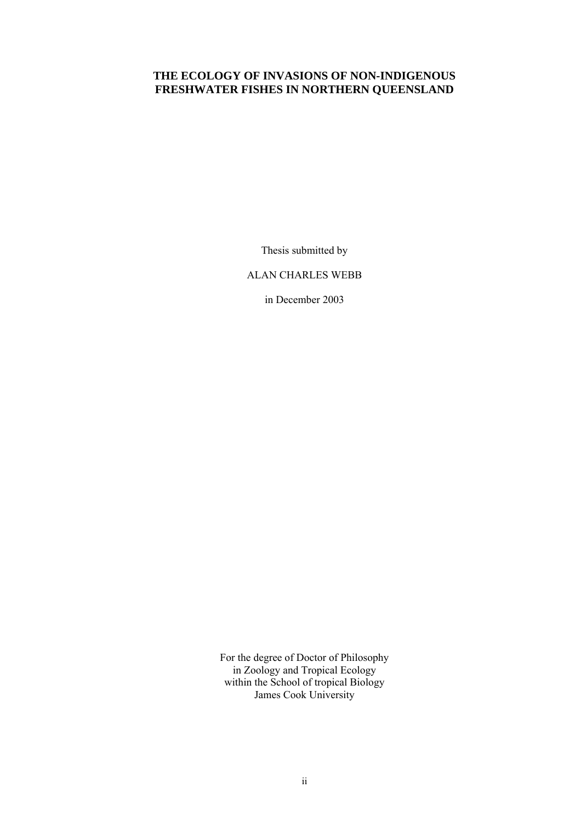# **THE ECOLOGY OF INVASIONS OF NON-INDIGENOUS FRESHWATER FISHES IN NORTHERN QUEENSLAND**

Thesis submitted by

ALAN CHARLES WEBB

in December 2003

For the degree of Doctor of Philosophy in Zoology and Tropical Ecology within the School of tropical Biology James Cook University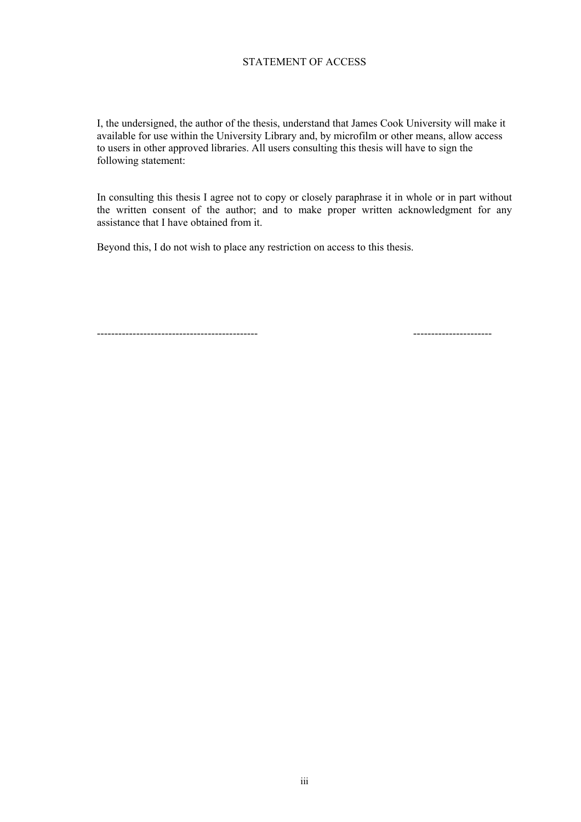### STATEMENT OF ACCESS

I, the undersigned, the author of the thesis, understand that James Cook University will make it available for use within the University Library and, by microfilm or other means, allow access to users in other approved libraries. All users consulting this thesis will have to sign the following statement:

In consulting this thesis I agree not to copy or closely paraphrase it in whole or in part without the written consent of the author; and to make proper written acknowledgment for any assistance that I have obtained from it.

Beyond this, I do not wish to place any restriction on access to this thesis.

--------------------------------------------- ----------------------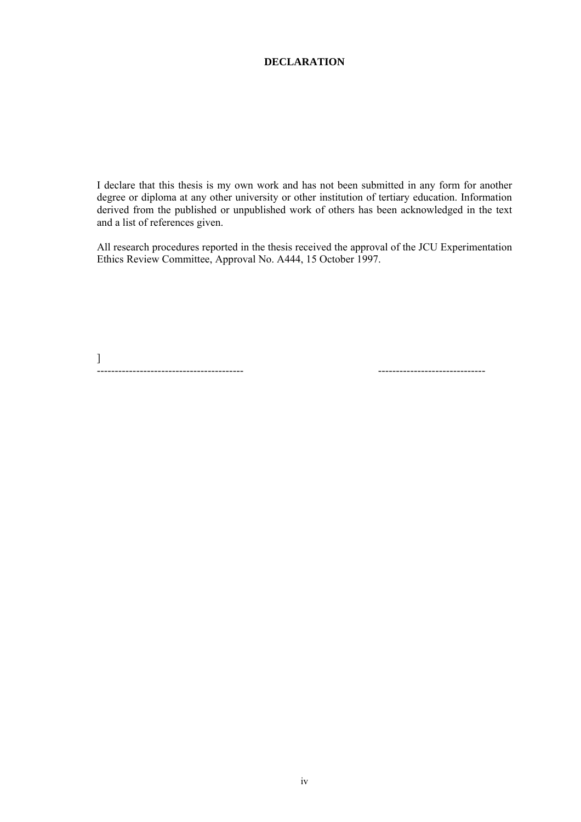### **DECLARATION**

I declare that this thesis is my own work and has not been submitted in any form for another degree or diploma at any other university or other institution of tertiary education. Information derived from the published or unpublished work of others has been acknowledged in the text and a list of references given.

All research procedures reported in the thesis received the approval of the JCU Experimentation Ethics Review Committee, Approval No. A444, 15 October 1997.

] ----------------------------------------- ------------------------------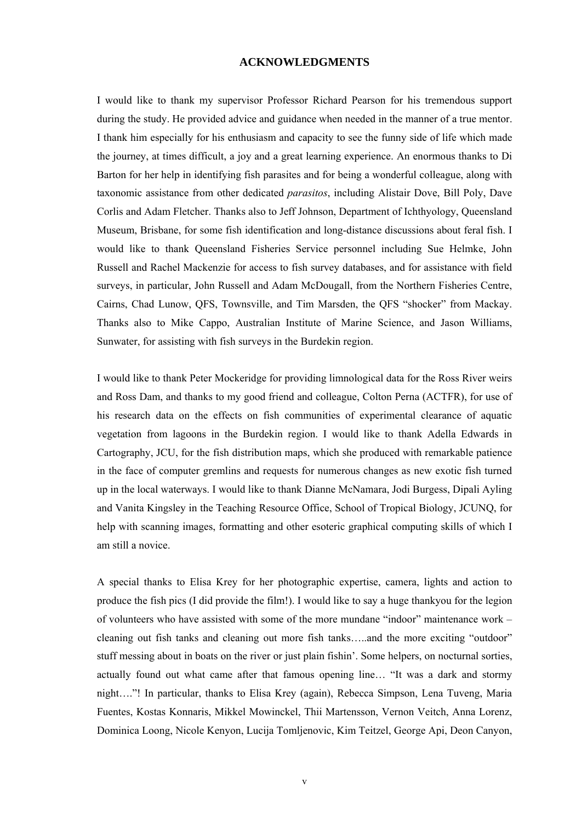#### **ACKNOWLEDGMENTS**

I would like to thank my supervisor Professor Richard Pearson for his tremendous support during the study. He provided advice and guidance when needed in the manner of a true mentor. I thank him especially for his enthusiasm and capacity to see the funny side of life which made the journey, at times difficult, a joy and a great learning experience. An enormous thanks to Di Barton for her help in identifying fish parasites and for being a wonderful colleague, along with taxonomic assistance from other dedicated *parasitos*, including Alistair Dove, Bill Poly, Dave Corlis and Adam Fletcher. Thanks also to Jeff Johnson, Department of Ichthyology, Queensland Museum, Brisbane, for some fish identification and long-distance discussions about feral fish. I would like to thank Queensland Fisheries Service personnel including Sue Helmke, John Russell and Rachel Mackenzie for access to fish survey databases, and for assistance with field surveys, in particular, John Russell and Adam McDougall, from the Northern Fisheries Centre, Cairns, Chad Lunow, QFS, Townsville, and Tim Marsden, the QFS "shocker" from Mackay. Thanks also to Mike Cappo, Australian Institute of Marine Science, and Jason Williams, Sunwater, for assisting with fish surveys in the Burdekin region.

I would like to thank Peter Mockeridge for providing limnological data for the Ross River weirs and Ross Dam, and thanks to my good friend and colleague, Colton Perna (ACTFR), for use of his research data on the effects on fish communities of experimental clearance of aquatic vegetation from lagoons in the Burdekin region. I would like to thank Adella Edwards in Cartography, JCU, for the fish distribution maps, which she produced with remarkable patience in the face of computer gremlins and requests for numerous changes as new exotic fish turned up in the local waterways. I would like to thank Dianne McNamara, Jodi Burgess, Dipali Ayling and Vanita Kingsley in the Teaching Resource Office, School of Tropical Biology, JCUNQ, for help with scanning images, formatting and other esoteric graphical computing skills of which I am still a novice.

A special thanks to Elisa Krey for her photographic expertise, camera, lights and action to produce the fish pics (I did provide the film!). I would like to say a huge thankyou for the legion of volunteers who have assisted with some of the more mundane "indoor" maintenance work – cleaning out fish tanks and cleaning out more fish tanks…..and the more exciting "outdoor" stuff messing about in boats on the river or just plain fishin'. Some helpers, on nocturnal sorties, actually found out what came after that famous opening line… "It was a dark and stormy night…."! In particular, thanks to Elisa Krey (again), Rebecca Simpson, Lena Tuveng, Maria Fuentes, Kostas Konnaris, Mikkel Mowinckel, Thii Martensson, Vernon Veitch, Anna Lorenz, Dominica Loong, Nicole Kenyon, Lucija Tomljenovic, Kim Teitzel, George Api, Deon Canyon,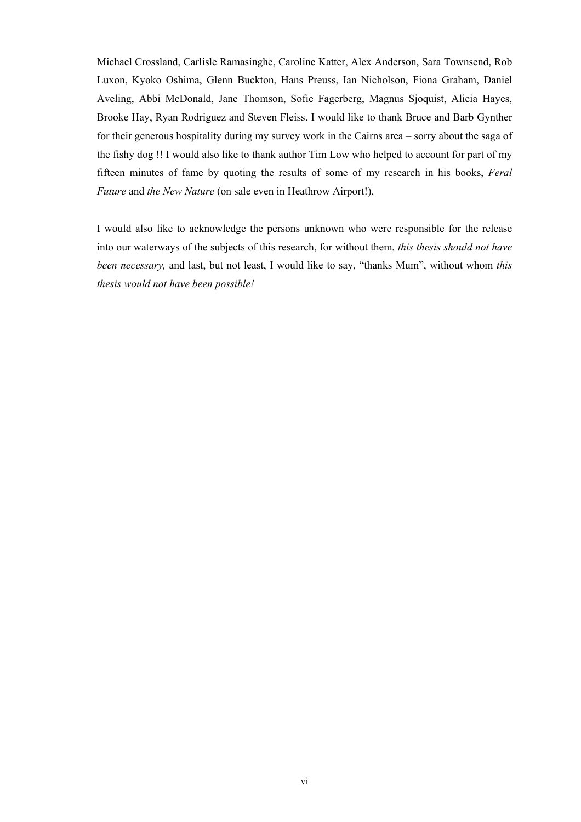Michael Crossland, Carlisle Ramasinghe, Caroline Katter, Alex Anderson, Sara Townsend, Rob Luxon, Kyoko Oshima, Glenn Buckton, Hans Preuss, Ian Nicholson, Fiona Graham, Daniel Aveling, Abbi McDonald, Jane Thomson, Sofie Fagerberg, Magnus Sjoquist, Alicia Hayes, Brooke Hay, Ryan Rodriguez and Steven Fleiss. I would like to thank Bruce and Barb Gynther for their generous hospitality during my survey work in the Cairns area – sorry about the saga of the fishy dog !! I would also like to thank author Tim Low who helped to account for part of my fifteen minutes of fame by quoting the results of some of my research in his books, *Feral Future* and *the New Nature* (on sale even in Heathrow Airport!).

I would also like to acknowledge the persons unknown who were responsible for the release into our waterways of the subjects of this research, for without them, *this thesis should not have been necessary,* and last, but not least, I would like to say, "thanks Mum", without whom *this thesis would not have been possible!*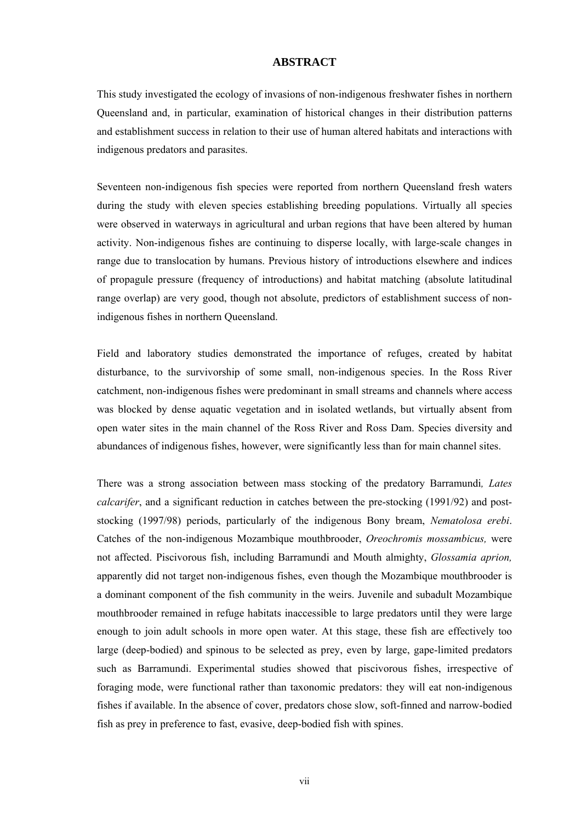#### **ABSTRACT**

This study investigated the ecology of invasions of non-indigenous freshwater fishes in northern Queensland and, in particular, examination of historical changes in their distribution patterns and establishment success in relation to their use of human altered habitats and interactions with indigenous predators and parasites.

Seventeen non-indigenous fish species were reported from northern Queensland fresh waters during the study with eleven species establishing breeding populations. Virtually all species were observed in waterways in agricultural and urban regions that have been altered by human activity. Non-indigenous fishes are continuing to disperse locally, with large-scale changes in range due to translocation by humans. Previous history of introductions elsewhere and indices of propagule pressure (frequency of introductions) and habitat matching (absolute latitudinal range overlap) are very good, though not absolute, predictors of establishment success of nonindigenous fishes in northern Queensland.

Field and laboratory studies demonstrated the importance of refuges, created by habitat disturbance, to the survivorship of some small, non-indigenous species. In the Ross River catchment, non-indigenous fishes were predominant in small streams and channels where access was blocked by dense aquatic vegetation and in isolated wetlands, but virtually absent from open water sites in the main channel of the Ross River and Ross Dam. Species diversity and abundances of indigenous fishes, however, were significantly less than for main channel sites.

There was a strong association between mass stocking of the predatory Barramundi*, Lates calcarifer*, and a significant reduction in catches between the pre-stocking (1991/92) and poststocking (1997/98) periods, particularly of the indigenous Bony bream, *Nematolosa erebi*. Catches of the non-indigenous Mozambique mouthbrooder, *Oreochromis mossambicus,* were not affected. Piscivorous fish, including Barramundi and Mouth almighty, *Glossamia aprion,*  apparently did not target non-indigenous fishes, even though the Mozambique mouthbrooder is a dominant component of the fish community in the weirs. Juvenile and subadult Mozambique mouthbrooder remained in refuge habitats inaccessible to large predators until they were large enough to join adult schools in more open water. At this stage, these fish are effectively too large (deep-bodied) and spinous to be selected as prey, even by large, gape-limited predators such as Barramundi. Experimental studies showed that piscivorous fishes, irrespective of foraging mode, were functional rather than taxonomic predators: they will eat non-indigenous fishes if available. In the absence of cover, predators chose slow, soft-finned and narrow-bodied fish as prey in preference to fast, evasive, deep-bodied fish with spines.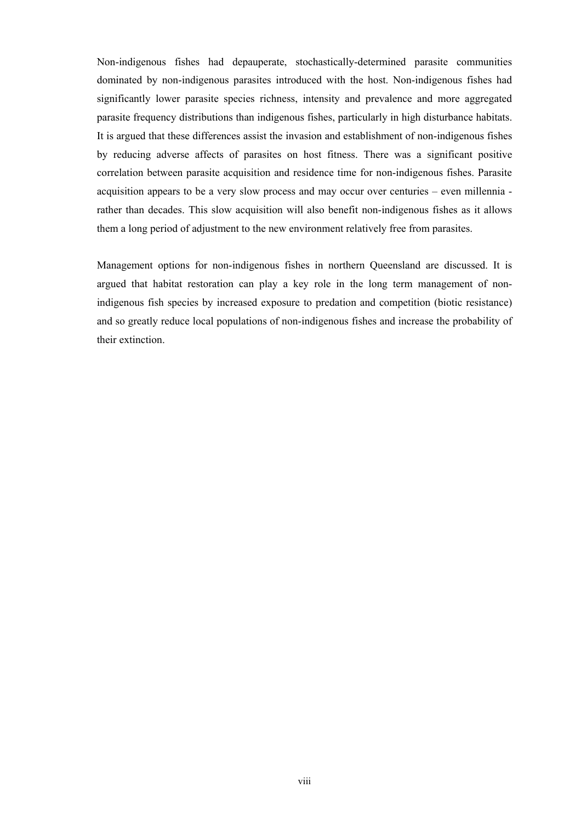Non-indigenous fishes had depauperate, stochastically-determined parasite communities dominated by non-indigenous parasites introduced with the host. Non-indigenous fishes had significantly lower parasite species richness, intensity and prevalence and more aggregated parasite frequency distributions than indigenous fishes, particularly in high disturbance habitats. It is argued that these differences assist the invasion and establishment of non-indigenous fishes by reducing adverse affects of parasites on host fitness. There was a significant positive correlation between parasite acquisition and residence time for non-indigenous fishes. Parasite acquisition appears to be a very slow process and may occur over centuries – even millennia rather than decades. This slow acquisition will also benefit non-indigenous fishes as it allows them a long period of adjustment to the new environment relatively free from parasites.

Management options for non-indigenous fishes in northern Queensland are discussed. It is argued that habitat restoration can play a key role in the long term management of nonindigenous fish species by increased exposure to predation and competition (biotic resistance) and so greatly reduce local populations of non-indigenous fishes and increase the probability of their extinction.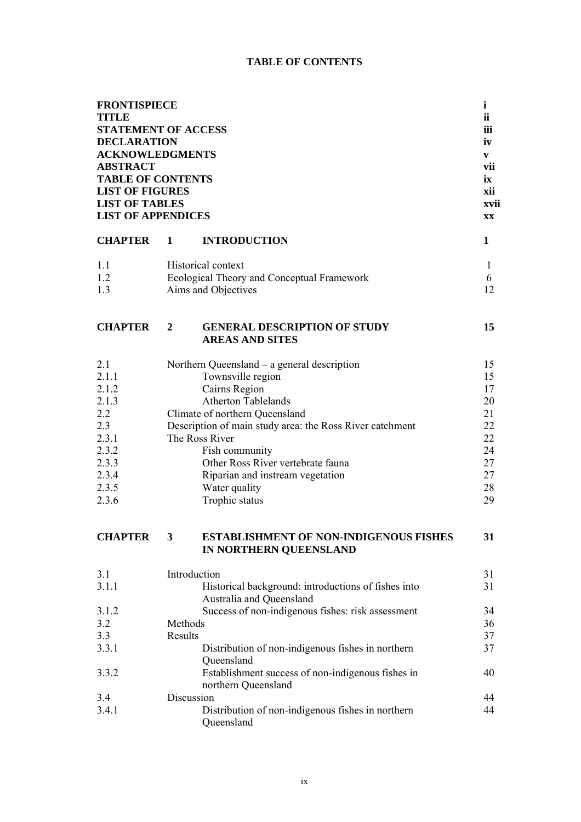# **TABLE OF CONTENTS**

| <b>FRONTISPIECE</b><br><b>TITLE</b><br><b>STATEMENT OF ACCESS</b><br><b>DECLARATION</b><br><b>ACKNOWLEDGMENTS</b><br><b>ABSTRACT</b><br><b>TABLE OF CONTENTS</b><br><b>LIST OF FIGURES</b><br><b>LIST OF TABLES</b><br><b>LIST OF APPENDICES</b> |             |                                                                          | $\mathbf{i}$<br><b>ii</b><br>iii<br>iv<br>V<br>vii<br>ix<br>xii<br>xvii<br><b>XX</b> |
|--------------------------------------------------------------------------------------------------------------------------------------------------------------------------------------------------------------------------------------------------|-------------|--------------------------------------------------------------------------|--------------------------------------------------------------------------------------|
| <b>CHAPTER</b>                                                                                                                                                                                                                                   | $\mathbf 1$ | <b>INTRODUCTION</b>                                                      | $\mathbf{1}$                                                                         |
| 1.1                                                                                                                                                                                                                                              |             | <b>Historical context</b>                                                | 1                                                                                    |
| 1.2                                                                                                                                                                                                                                              |             | Ecological Theory and Conceptual Framework                               | 6                                                                                    |
| 1.3                                                                                                                                                                                                                                              |             | Aims and Objectives                                                      | 12                                                                                   |
| <b>CHAPTER</b>                                                                                                                                                                                                                                   | 2           | <b>GENERAL DESCRIPTION OF STUDY</b><br><b>AREAS AND SITES</b>            | 15                                                                                   |
| 2.1                                                                                                                                                                                                                                              |             | Northern Queensland – a general description                              | 15                                                                                   |
| 2.1.1                                                                                                                                                                                                                                            |             | Townsville region                                                        | 15                                                                                   |
| 2.1.2                                                                                                                                                                                                                                            |             | Cairns Region                                                            | 17                                                                                   |
| 2.1.3                                                                                                                                                                                                                                            |             | <b>Atherton Tablelands</b>                                               | 20                                                                                   |
| 2.2                                                                                                                                                                                                                                              |             | Climate of northern Queensland                                           | 21                                                                                   |
| 2.3                                                                                                                                                                                                                                              |             | Description of main study area: the Ross River catchment                 | 22                                                                                   |
| 2.3.1                                                                                                                                                                                                                                            |             | The Ross River                                                           | 22                                                                                   |
| 2.3.2                                                                                                                                                                                                                                            |             | Fish community                                                           | 24                                                                                   |
| 2.3.3                                                                                                                                                                                                                                            |             | Other Ross River vertebrate fauna                                        | 27                                                                                   |
| 2.3.4                                                                                                                                                                                                                                            |             | Riparian and instream vegetation                                         | 27                                                                                   |
| 2.3.5                                                                                                                                                                                                                                            |             | Water quality                                                            | 28                                                                                   |
| 2.3.6                                                                                                                                                                                                                                            |             | Trophic status                                                           | 29                                                                                   |
| <b>CHAPTER</b>                                                                                                                                                                                                                                   | 3           | <b>ESTABLISHMENT OF NON-INDIGENOUS FISHES</b><br>IN NORTHERN QUEENSLAND  | 31                                                                                   |
| 3.1                                                                                                                                                                                                                                              |             | Introduction                                                             | 31                                                                                   |
| 3.1.1                                                                                                                                                                                                                                            |             | Historical background: introductions of fishes into                      | 31                                                                                   |
|                                                                                                                                                                                                                                                  |             | Australia and Queensland                                                 |                                                                                      |
| 3.1.2                                                                                                                                                                                                                                            |             | Success of non-indigenous fishes: risk assessment                        | 34                                                                                   |
| 3.2                                                                                                                                                                                                                                              | Methods     |                                                                          | 36                                                                                   |
| 3.3                                                                                                                                                                                                                                              | Results     |                                                                          | 37                                                                                   |
| 3.3.1                                                                                                                                                                                                                                            |             | Distribution of non-indigenous fishes in northern<br>Queensland          | 37                                                                                   |
| 3.3.2                                                                                                                                                                                                                                            |             | Establishment success of non-indigenous fishes in<br>northern Queensland | 40                                                                                   |
| 3.4                                                                                                                                                                                                                                              |             | Discussion                                                               | 44                                                                                   |
| 3.4.1                                                                                                                                                                                                                                            |             | Distribution of non-indigenous fishes in northern<br>Queensland          | 44                                                                                   |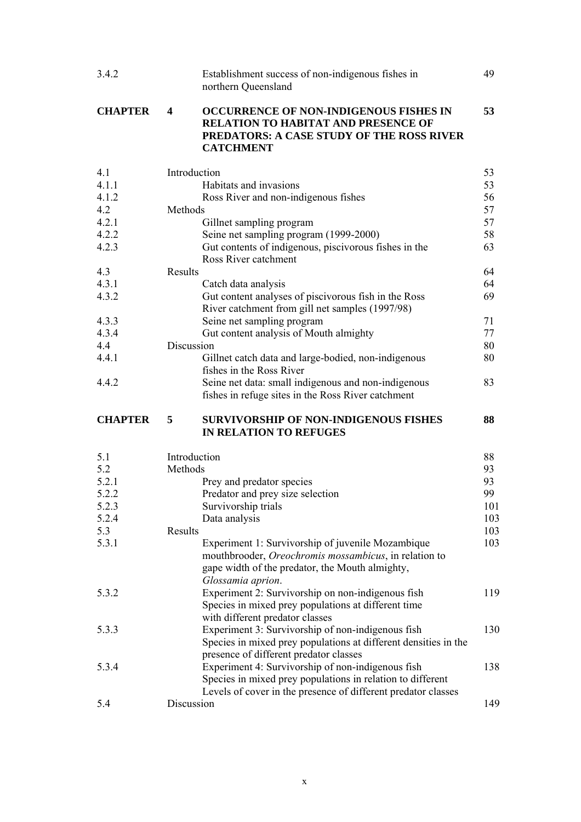| 3.4.2          | Establishment success of non-indigenous fishes in                                                                                                                                       | 49  |
|----------------|-----------------------------------------------------------------------------------------------------------------------------------------------------------------------------------------|-----|
|                | northern Queensland                                                                                                                                                                     |     |
| <b>CHAPTER</b> | $\overline{\mathbf{4}}$<br><b>OCCURRENCE OF NON-INDIGENOUS FISHES IN</b><br><b>RELATION TO HABITAT AND PRESENCE OF</b><br>PREDATORS: A CASE STUDY OF THE ROSS RIVER<br><b>CATCHMENT</b> | 53  |
| 4.1            | Introduction                                                                                                                                                                            | 53  |
| 4.1.1          | Habitats and invasions                                                                                                                                                                  | 53  |
| 4.1.2          | Ross River and non-indigenous fishes                                                                                                                                                    | 56  |
| 4.2            | Methods                                                                                                                                                                                 | 57  |
| 4.2.1          | Gillnet sampling program                                                                                                                                                                | 57  |
| 4.2.2          | Seine net sampling program (1999-2000)                                                                                                                                                  | 58  |
| 4.2.3          | Gut contents of indigenous, piscivorous fishes in the                                                                                                                                   | 63  |
|                | Ross River catchment                                                                                                                                                                    |     |
| 4.3            | Results                                                                                                                                                                                 | 64  |
| 4.3.1          | Catch data analysis                                                                                                                                                                     | 64  |
| 4.3.2          | Gut content analyses of piscivorous fish in the Ross<br>River catchment from gill net samples (1997/98)                                                                                 | 69  |
| 4.3.3          | Seine net sampling program                                                                                                                                                              | 71  |
| 4.3.4          | Gut content analysis of Mouth almighty                                                                                                                                                  | 77  |
| 4.4            | Discussion                                                                                                                                                                              | 80  |
| 4.4.1          | Gillnet catch data and large-bodied, non-indigenous<br>fishes in the Ross River                                                                                                         | 80  |
| 4.4.2          | Seine net data: small indigenous and non-indigenous<br>fishes in refuge sites in the Ross River catchment                                                                               | 83  |
| <b>CHAPTER</b> | <b>SURVIVORSHIP OF NON-INDIGENOUS FISHES</b><br>5<br><b>IN RELATION TO REFUGES</b>                                                                                                      | 88  |
| 5.1            | Introduction                                                                                                                                                                            | 88  |
| 5.2            | Methods                                                                                                                                                                                 | 93  |
| 5.2.1          | Prey and predator species                                                                                                                                                               | 93  |
| 5.2.2          | Predator and prey size selection                                                                                                                                                        | 99  |
| 5.2.3          | Survivorship trials                                                                                                                                                                     | 101 |
| 5.2.4          | Data analysis                                                                                                                                                                           | 103 |
| 5.3            | Results                                                                                                                                                                                 | 103 |
| 5.3.1          | Experiment 1: Survivorship of juvenile Mozambique                                                                                                                                       | 103 |
|                | mouthbrooder, Oreochromis mossambicus, in relation to                                                                                                                                   |     |
|                | gape width of the predator, the Mouth almighty,<br>Glossamia aprion.                                                                                                                    |     |
| 5.3.2          | Experiment 2: Survivorship on non-indigenous fish                                                                                                                                       | 119 |
|                | Species in mixed prey populations at different time                                                                                                                                     |     |
| 5.3.3          | with different predator classes<br>Experiment 3: Survivorship of non-indigenous fish                                                                                                    | 130 |
|                | Species in mixed prey populations at different densities in the                                                                                                                         |     |
|                | presence of different predator classes                                                                                                                                                  |     |
| 5.3.4          | Experiment 4: Survivorship of non-indigenous fish<br>Species in mixed prey populations in relation to different                                                                         | 138 |
|                | Levels of cover in the presence of different predator classes<br>Discussion                                                                                                             | 149 |
| 5.4            |                                                                                                                                                                                         |     |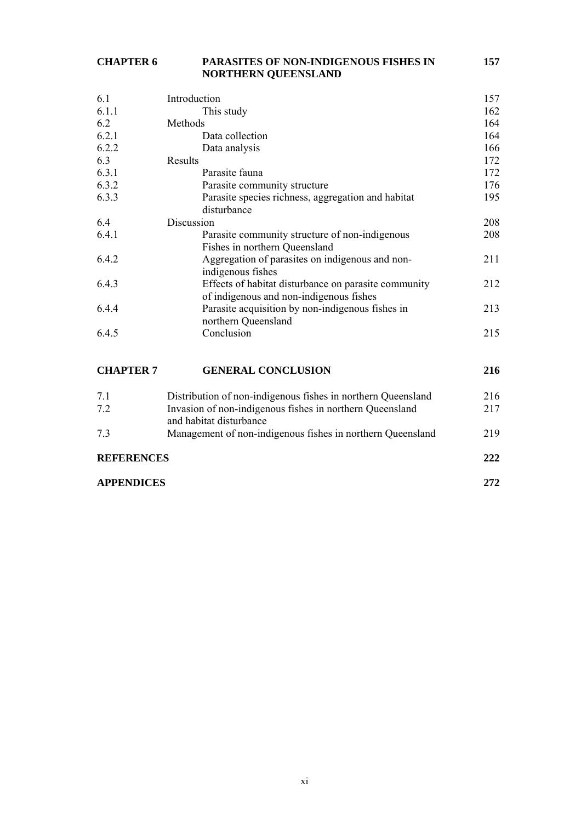### **CHAPTER 6 PARASITES OF NON-INDIGENOUS FISHES IN 157 NORTHERN QUEENSLAND**

| 6.1   | Introduction                                         | 157 |
|-------|------------------------------------------------------|-----|
| 6.1.1 | This study                                           | 162 |
| 6.2   | Methods                                              | 164 |
| 6.2.1 | Data collection                                      | 164 |
| 6.2.2 | Data analysis                                        | 166 |
| 6.3   | Results                                              | 172 |
| 6.3.1 | Parasite fauna                                       | 172 |
| 6.3.2 | Parasite community structure                         | 176 |
| 6.3.3 | Parasite species richness, aggregation and habitat   | 195 |
|       | disturbance                                          |     |
| 6.4   | Discussion                                           | 208 |
| 6.4.1 | Parasite community structure of non-indigenous       | 208 |
|       | Fishes in northern Queensland                        |     |
| 6.4.2 | Aggregation of parasites on indigenous and non-      | 211 |
|       | indigenous fishes                                    |     |
| 6.4.3 | Effects of habitat disturbance on parasite community | 212 |
|       | of indigenous and non-indigenous fishes              |     |
| 6.4.4 | Parasite acquisition by non-indigenous fishes in     | 213 |
|       | northern Queensland                                  |     |
| 6.4.5 | Conclusion                                           | 215 |
|       |                                                      |     |
|       |                                                      |     |

# **CHAPTER 7 GENERAL CONCLUSION 216**

| 7.1<br>7.2        | Distribution of non-indigenous fishes in northern Queensland<br>Invasion of non-indigenous fishes in northern Queensland | 216<br>217 |
|-------------------|--------------------------------------------------------------------------------------------------------------------------|------------|
|                   | and habitat disturbance                                                                                                  |            |
| 73                | Management of non-indigenous fishes in northern Queensland                                                               | 219        |
| <b>REFERENCES</b> |                                                                                                                          | 222        |
| <b>APPENDICES</b> |                                                                                                                          | 2.72.      |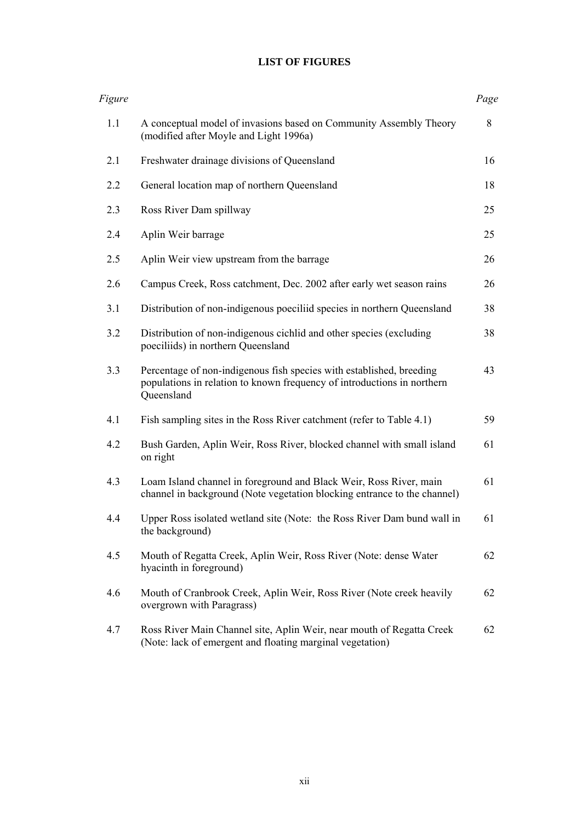# **LIST OF FIGURES**

| Figure |                                                                                                                                                               | Page |
|--------|---------------------------------------------------------------------------------------------------------------------------------------------------------------|------|
| 1.1    | A conceptual model of invasions based on Community Assembly Theory<br>(modified after Moyle and Light 1996a)                                                  | 8    |
| 2.1    | Freshwater drainage divisions of Queensland                                                                                                                   | 16   |
| 2.2    | General location map of northern Queensland                                                                                                                   | 18   |
| 2.3    | Ross River Dam spillway                                                                                                                                       | 25   |
| 2.4    | Aplin Weir barrage                                                                                                                                            | 25   |
| 2.5    | Aplin Weir view upstream from the barrage                                                                                                                     | 26   |
| 2.6    | Campus Creek, Ross catchment, Dec. 2002 after early wet season rains                                                                                          | 26   |
| 3.1    | Distribution of non-indigenous poeciliid species in northern Queensland                                                                                       | 38   |
| 3.2    | Distribution of non-indigenous cichlid and other species (excluding<br>poeciliids) in northern Queensland                                                     | 38   |
| 3.3    | Percentage of non-indigenous fish species with established, breeding<br>populations in relation to known frequency of introductions in northern<br>Queensland | 43   |
| 4.1    | Fish sampling sites in the Ross River catchment (refer to Table 4.1)                                                                                          | 59   |
| 4.2    | Bush Garden, Aplin Weir, Ross River, blocked channel with small island<br>on right                                                                            | 61   |
| 4.3    | Loam Island channel in foreground and Black Weir, Ross River, main<br>channel in background (Note vegetation blocking entrance to the channel)                | 61   |
| 4.4    | Upper Ross isolated wetland site (Note: the Ross River Dam bund wall in<br>the background)                                                                    | 61   |
| 4.5    | Mouth of Regatta Creek, Aplin Weir, Ross River (Note: dense Water<br>hyacinth in foreground)                                                                  | 62   |
| 4.6    | Mouth of Cranbrook Creek, Aplin Weir, Ross River (Note creek heavily<br>overgrown with Paragrass)                                                             | 62   |
| 4.7    | Ross River Main Channel site, Aplin Weir, near mouth of Regatta Creek<br>(Note: lack of emergent and floating marginal vegetation)                            | 62   |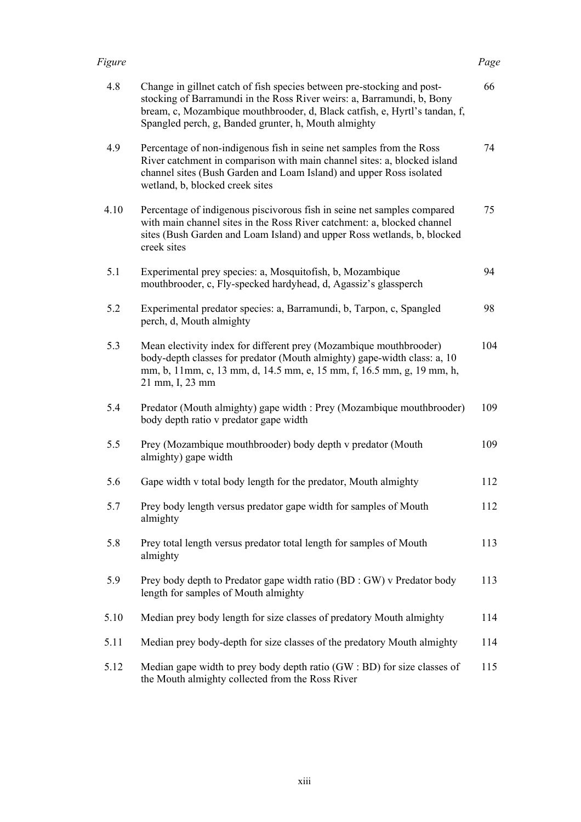| 4.8  | Change in gillnet catch of fish species between pre-stocking and post-<br>stocking of Barramundi in the Ross River weirs: a, Barramundi, b, Bony<br>bream, c, Mozambique mouthbrooder, d, Black catfish, e, Hyrtl's tandan, f,<br>Spangled perch, g, Banded grunter, h, Mouth almighty | 66  |
|------|----------------------------------------------------------------------------------------------------------------------------------------------------------------------------------------------------------------------------------------------------------------------------------------|-----|
| 4.9  | Percentage of non-indigenous fish in seine net samples from the Ross<br>River catchment in comparison with main channel sites: a, blocked island<br>channel sites (Bush Garden and Loam Island) and upper Ross isolated<br>wetland, b, blocked creek sites                             | 74  |
| 4.10 | Percentage of indigenous piscivorous fish in seine net samples compared<br>with main channel sites in the Ross River catchment: a, blocked channel<br>sites (Bush Garden and Loam Island) and upper Ross wetlands, b, blocked<br>creek sites                                           | 75  |
| 5.1  | Experimental prey species: a, Mosquitofish, b, Mozambique<br>mouthbrooder, c, Fly-specked hardyhead, d, Agassiz's glassperch                                                                                                                                                           | 94  |
| 5.2  | Experimental predator species: a, Barramundi, b, Tarpon, c, Spangled<br>perch, d, Mouth almighty                                                                                                                                                                                       | 98  |
| 5.3  | Mean electivity index for different prey (Mozambique mouthbrooder)<br>body-depth classes for predator (Mouth almighty) gape-width class: a, 10<br>mm, b, 11mm, c, 13 mm, d, 14.5 mm, e, 15 mm, f, 16.5 mm, g, 19 mm, h,<br>21 mm, I, 23 mm                                             | 104 |
| 5.4  | Predator (Mouth almighty) gape width : Prey (Mozambique mouthbrooder)<br>body depth ratio v predator gape width                                                                                                                                                                        | 109 |
| 5.5  | Prey (Mozambique mouthbrooder) body depth v predator (Mouth<br>almighty) gape width                                                                                                                                                                                                    | 109 |
| 5.6  | Gape width v total body length for the predator, Mouth almighty                                                                                                                                                                                                                        | 112 |
| 5.7  | Prey body length versus predator gape width for samples of Mouth<br>almighty                                                                                                                                                                                                           | 112 |
| 5.8  | Prey total length versus predator total length for samples of Mouth<br>almighty                                                                                                                                                                                                        | 113 |
| 5.9  | Prey body depth to Predator gape width ratio (BD : GW) v Predator body<br>length for samples of Mouth almighty                                                                                                                                                                         | 113 |
| 5.10 | Median prey body length for size classes of predatory Mouth almighty                                                                                                                                                                                                                   | 114 |
| 5.11 | Median prey body-depth for size classes of the predatory Mouth almighty                                                                                                                                                                                                                | 114 |
| 5.12 | Median gape width to prey body depth ratio $(GW : BD)$ for size classes of<br>the Mouth almighty collected from the Ross River                                                                                                                                                         | 115 |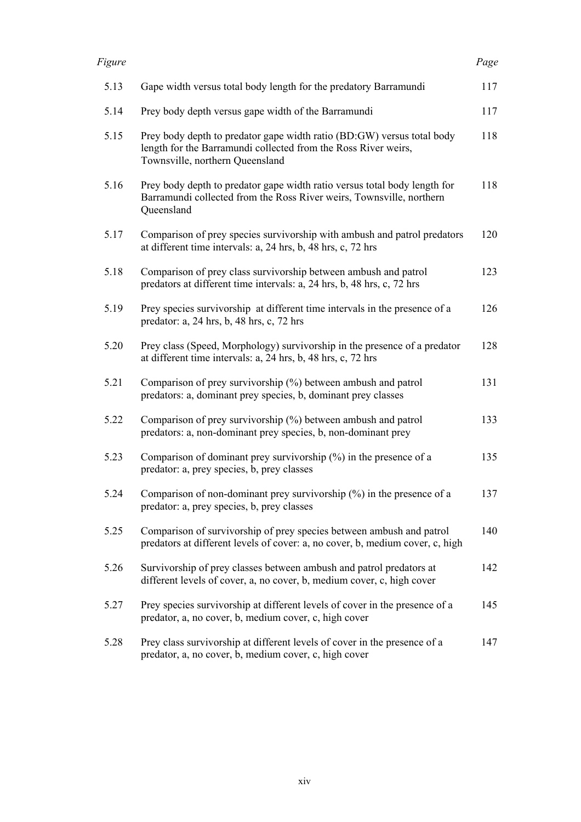| 5.13 | Gape width versus total body length for the predatory Barramundi                                                                                                            | 117 |
|------|-----------------------------------------------------------------------------------------------------------------------------------------------------------------------------|-----|
| 5.14 | Prey body depth versus gape width of the Barramundi                                                                                                                         | 117 |
| 5.15 | Prey body depth to predator gape width ratio (BD:GW) versus total body<br>length for the Barramundi collected from the Ross River weirs,<br>Townsville, northern Queensland | 118 |
| 5.16 | Prey body depth to predator gape width ratio versus total body length for<br>Barramundi collected from the Ross River weirs, Townsville, northern<br>Queensland             | 118 |
| 5.17 | Comparison of prey species survivorship with ambush and patrol predators<br>at different time intervals: a, 24 hrs, b, 48 hrs, c, 72 hrs                                    | 120 |
| 5.18 | Comparison of prey class survivorship between ambush and patrol<br>predators at different time intervals: a, 24 hrs, b, 48 hrs, c, 72 hrs                                   | 123 |
| 5.19 | Prey species survivorship at different time intervals in the presence of a<br>predator: a, 24 hrs, b, 48 hrs, c, 72 hrs                                                     | 126 |
| 5.20 | Prey class (Speed, Morphology) survivorship in the presence of a predator<br>at different time intervals: a, 24 hrs, b, 48 hrs, c, 72 hrs                                   | 128 |
| 5.21 | Comparison of prey survivorship (%) between ambush and patrol<br>predators: a, dominant prey species, b, dominant prey classes                                              | 131 |
| 5.22 | Comparison of prey survivorship (%) between ambush and patrol<br>predators: a, non-dominant prey species, b, non-dominant prey                                              | 133 |
| 5.23 | Comparison of dominant prey survivorship $(\%)$ in the presence of a<br>predator: a, prey species, b, prey classes                                                          | 135 |
| 5.24 | Comparison of non-dominant prey survivorship $(\%)$ in the presence of a<br>predator: a, prey species, b, prey classes                                                      | 137 |
| 5.25 | Comparison of survivorship of prey species between ambush and patrol<br>predators at different levels of cover: a, no cover, b, medium cover, c, high                       | 140 |
| 5.26 | Survivorship of prey classes between ambush and patrol predators at<br>different levels of cover, a, no cover, b, medium cover, c, high cover                               | 142 |
| 5.27 | Prey species survivorship at different levels of cover in the presence of a<br>predator, a, no cover, b, medium cover, c, high cover                                        | 145 |
| 5.28 | Prey class survivorship at different levels of cover in the presence of a<br>predator, a, no cover, b, medium cover, c, high cover                                          | 147 |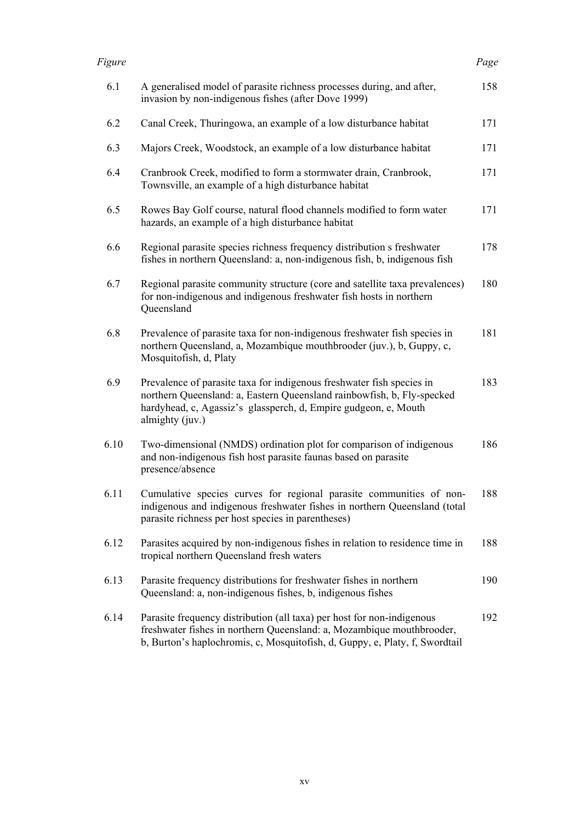| 6.1  | A generalised model of parasite richness processes during, and after,<br>invasion by non-indigenous fishes (after Dove 1999)                                                                                                          | 158 |
|------|---------------------------------------------------------------------------------------------------------------------------------------------------------------------------------------------------------------------------------------|-----|
| 6.2  | Canal Creek, Thuringowa, an example of a low disturbance habitat                                                                                                                                                                      | 171 |
| 6.3  | Majors Creek, Woodstock, an example of a low disturbance habitat                                                                                                                                                                      | 171 |
| 6.4  | Cranbrook Creek, modified to form a stormwater drain, Cranbrook,<br>Townsville, an example of a high disturbance habitat                                                                                                              | 171 |
| 6.5  | Rowes Bay Golf course, natural flood channels modified to form water<br>hazards, an example of a high disturbance habitat                                                                                                             | 171 |
| 6.6  | Regional parasite species richness frequency distribution s freshwater<br>fishes in northern Queensland: a, non-indigenous fish, b, indigenous fish                                                                                   | 178 |
| 6.7  | Regional parasite community structure (core and satellite taxa prevalences)<br>for non-indigenous and indigenous freshwater fish hosts in northern<br>Queensland                                                                      | 180 |
| 6.8  | Prevalence of parasite taxa for non-indigenous freshwater fish species in<br>northern Queensland, a, Mozambique mouthbrooder (juv.), b, Guppy, c,<br>Mosquitofish, d, Platy                                                           | 181 |
| 6.9  | Prevalence of parasite taxa for indigenous freshwater fish species in<br>northern Queensland: a, Eastern Queensland rainbowfish, b, Fly-specked<br>hardyhead, c, Agassiz's glassperch, d, Empire gudgeon, e, Mouth<br>almighty (juv.) | 183 |
| 6.10 | Two-dimensional (NMDS) ordination plot for comparison of indigenous<br>and non-indigenous fish host parasite faunas based on parasite<br>presence/absence                                                                             | 186 |
| 6.11 | Cumulative species curves for regional parasite communities of non-<br>indigenous and indigenous freshwater fishes in northern Queensland (total<br>parasite richness per host species in parentheses)                                | 188 |
| 6.12 | Parasites acquired by non-indigenous fishes in relation to residence time in<br>tropical northern Queensland fresh waters                                                                                                             | 188 |
| 6.13 | Parasite frequency distributions for freshwater fishes in northern<br>Queensland: a, non-indigenous fishes, b, indigenous fishes                                                                                                      | 190 |
| 6.14 | Parasite frequency distribution (all taxa) per host for non-indigenous<br>freshwater fishes in northern Queensland: a, Mozambique mouthbrooder,<br>b, Burton's haplochromis, c, Mosquitofish, d, Guppy, e, Platy, f, Swordtail        | 192 |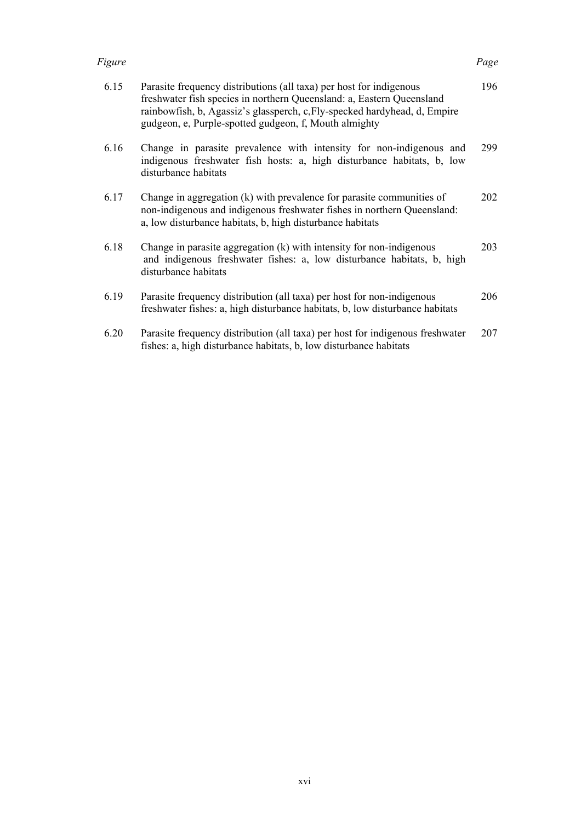| 6.15 | Parasite frequency distributions (all taxa) per host for indigenous<br>freshwater fish species in northern Queensland: a, Eastern Queensland<br>rainbowfish, b, Agassiz's glassperch, c, Fly-specked hardyhead, d, Empire<br>gudgeon, e, Purple-spotted gudgeon, f, Mouth almighty | 196 |
|------|------------------------------------------------------------------------------------------------------------------------------------------------------------------------------------------------------------------------------------------------------------------------------------|-----|
| 6.16 | Change in parasite prevalence with intensity for non-indigenous and<br>indigenous freshwater fish hosts: a, high disturbance habitats, b, low<br>disturbance habitats                                                                                                              | 299 |
| 6.17 | Change in aggregation (k) with prevalence for parasite communities of<br>non-indigenous and indigenous freshwater fishes in northern Queensland:<br>a, low disturbance habitats, b, high disturbance habitats                                                                      | 202 |
| 6.18 | Change in parasite aggregation (k) with intensity for non-indigenous<br>and indigenous freshwater fishes: a, low disturbance habitats, b, high<br>disturbance habitats                                                                                                             | 203 |
| 6.19 | Parasite frequency distribution (all taxa) per host for non-indigenous<br>freshwater fishes: a, high disturbance habitats, b, low disturbance habitats                                                                                                                             | 206 |
| 6.20 | Parasite frequency distribution (all taxa) per host for indigenous freshwater                                                                                                                                                                                                      | 207 |

fishes: a, high disturbance habitats, b, low disturbance habitats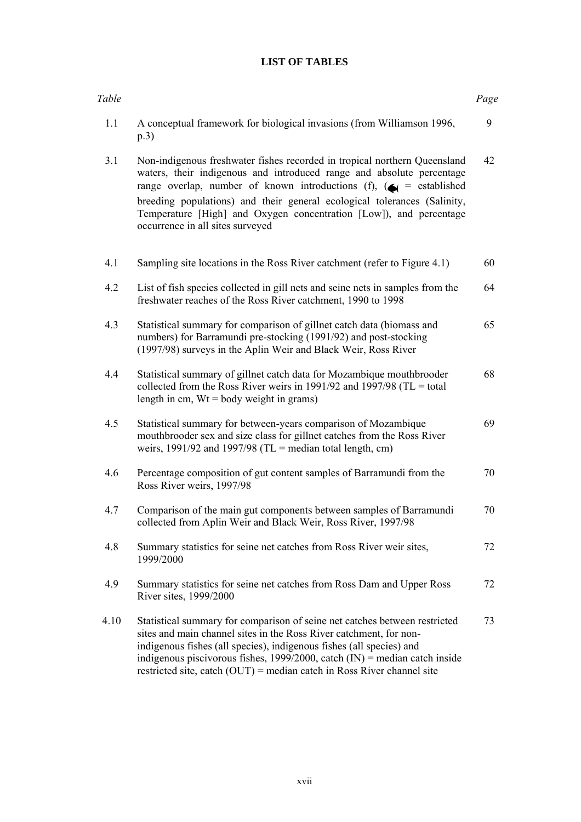# **LIST OF TABLES**

| Table |                                                                                                                                                                                                                                                                                                                                                                                                                                     | Page |
|-------|-------------------------------------------------------------------------------------------------------------------------------------------------------------------------------------------------------------------------------------------------------------------------------------------------------------------------------------------------------------------------------------------------------------------------------------|------|
| 1.1   | A conceptual framework for biological invasions (from Williamson 1996,<br>p.3)                                                                                                                                                                                                                                                                                                                                                      | 9    |
| 3.1   | Non-indigenous freshwater fishes recorded in tropical northern Queensland<br>waters, their indigenous and introduced range and absolute percentage<br>range overlap, number of known introductions (f), $\left(\bigstar\right)$ = established<br>breeding populations) and their general ecological tolerances (Salinity,<br>Temperature [High] and Oxygen concentration [Low]), and percentage<br>occurrence in all sites surveyed | 42   |
| 4.1   | Sampling site locations in the Ross River catchment (refer to Figure 4.1)                                                                                                                                                                                                                                                                                                                                                           | 60   |
| 4.2   | List of fish species collected in gill nets and seine nets in samples from the<br>freshwater reaches of the Ross River catchment, 1990 to 1998                                                                                                                                                                                                                                                                                      | 64   |
| 4.3   | Statistical summary for comparison of gillnet catch data (biomass and<br>numbers) for Barramundi pre-stocking (1991/92) and post-stocking<br>(1997/98) surveys in the Aplin Weir and Black Weir, Ross River                                                                                                                                                                                                                         | 65   |
| 4.4   | Statistical summary of gillnet catch data for Mozambique mouthbrooder<br>collected from the Ross River weirs in 1991/92 and 1997/98 (TL = total<br>length in cm, $Wt = body$ weight in grams)                                                                                                                                                                                                                                       | 68   |
| 4.5   | Statistical summary for between-years comparison of Mozambique<br>mouthbrooder sex and size class for gillnet catches from the Ross River<br>weirs, 1991/92 and 1997/98 (TL = median total length, cm)                                                                                                                                                                                                                              | 69   |
| 4.6   | Percentage composition of gut content samples of Barramundi from the<br>Ross River weirs, 1997/98                                                                                                                                                                                                                                                                                                                                   | 70   |
| 4.7   | Comparison of the main gut components between samples of Barramundi<br>collected from Aplin Weir and Black Weir, Ross River, 1997/98                                                                                                                                                                                                                                                                                                | 70   |
| 4.8   | Summary statistics for seine net catches from Ross River weir sites,<br>1999/2000                                                                                                                                                                                                                                                                                                                                                   | 72   |
| 4.9   | Summary statistics for seine net catches from Ross Dam and Upper Ross<br>River sites, 1999/2000                                                                                                                                                                                                                                                                                                                                     | 72   |
| 4.10  | Statistical summary for comparison of seine net catches between restricted<br>sites and main channel sites in the Ross River catchment, for non-<br>indigenous fishes (all species), indigenous fishes (all species) and<br>indigenous piscivorous fishes, $1999/2000$ , catch (IN) = median catch inside<br>restricted site, catch $(OUT)$ = median catch in Ross River channel site                                               | 73   |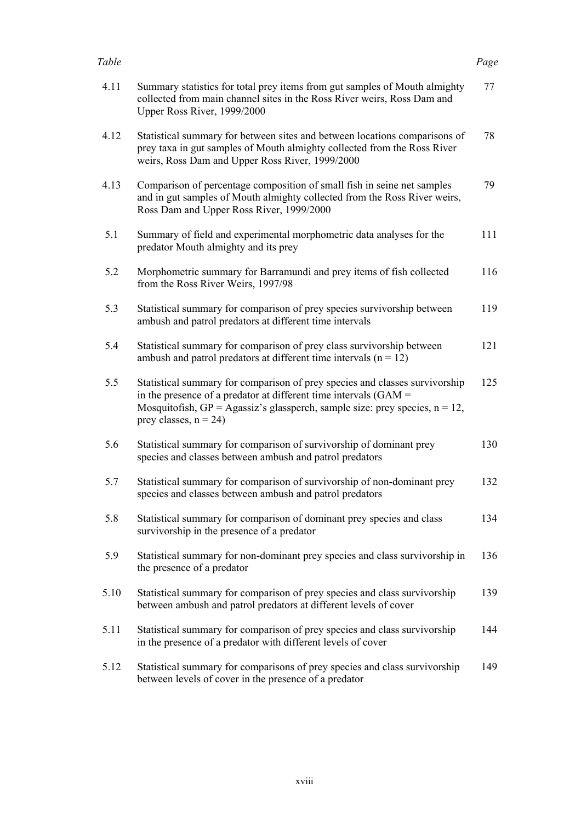### *Table Page*

| 4.11 | Summary statistics for total prey items from gut samples of Mouth almighty<br>collected from main channel sites in the Ross River weirs, Ross Dam and<br>Upper Ross River, 1999/2000                                                                               | 77  |
|------|--------------------------------------------------------------------------------------------------------------------------------------------------------------------------------------------------------------------------------------------------------------------|-----|
| 4.12 | Statistical summary for between sites and between locations comparisons of<br>prey taxa in gut samples of Mouth almighty collected from the Ross River<br>weirs, Ross Dam and Upper Ross River, 1999/2000                                                          | 78  |
| 4.13 | Comparison of percentage composition of small fish in seine net samples<br>and in gut samples of Mouth almighty collected from the Ross River weirs,<br>Ross Dam and Upper Ross River, 1999/2000                                                                   | 79  |
| 5.1  | Summary of field and experimental morphometric data analyses for the<br>predator Mouth almighty and its prey                                                                                                                                                       | 111 |
| 5.2  | Morphometric summary for Barramundi and prey items of fish collected<br>from the Ross River Weirs, 1997/98                                                                                                                                                         | 116 |
| 5.3  | Statistical summary for comparison of prey species survivorship between<br>ambush and patrol predators at different time intervals                                                                                                                                 | 119 |
| 5.4  | Statistical summary for comparison of prey class survivorship between<br>ambush and patrol predators at different time intervals ( $n = 12$ )                                                                                                                      | 121 |
| 5.5  | Statistical summary for comparison of prey species and classes survivorship<br>in the presence of a predator at different time intervals $(GAM =$<br>Mosquitofish, $GP = Agassiz's glassperch$ , sample size: prey species, $n = 12$ ,<br>prey classes, $n = 24$ ) | 125 |
| 5.6  | Statistical summary for comparison of survivorship of dominant prey<br>species and classes between ambush and patrol predators                                                                                                                                     | 130 |
| 5.7  | Statistical summary for comparison of survivorship of non-dominant prey<br>species and classes between ambush and patrol predators                                                                                                                                 | 132 |
| 5.8  | Statistical summary for comparison of dominant prey species and class<br>survivorship in the presence of a predator                                                                                                                                                | 134 |
| 5.9  | Statistical summary for non-dominant prey species and class survivorship in<br>the presence of a predator                                                                                                                                                          | 136 |
| 5.10 | Statistical summary for comparison of prey species and class survivorship<br>between ambush and patrol predators at different levels of cover                                                                                                                      | 139 |
| 5.11 | Statistical summary for comparison of prey species and class survivorship<br>in the presence of a predator with different levels of cover                                                                                                                          | 144 |
| 5.12 | Statistical summary for comparisons of prey species and class survivorship<br>between levels of cover in the presence of a predator                                                                                                                                | 149 |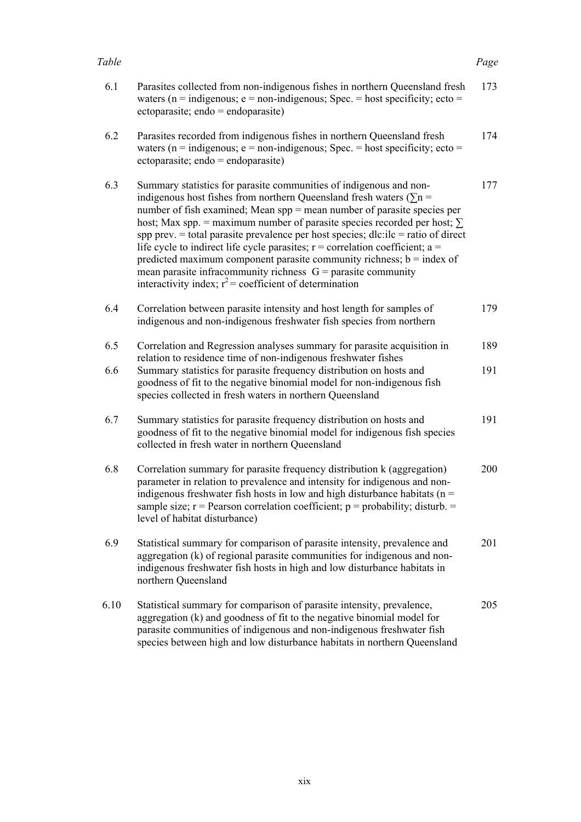### *Table Page*

| 6.1  | Parasites collected from non-indigenous fishes in northern Queensland fresh<br>waters ( $n =$ indigenous; $e =$ non-indigenous; Spec. = host specificity; ecto =<br>$ectoparasite$ ; $endo = endoparasite)$                                                                                                                                                                                                                                                                                                                                                                                                                                                                                           | 173 |
|------|-------------------------------------------------------------------------------------------------------------------------------------------------------------------------------------------------------------------------------------------------------------------------------------------------------------------------------------------------------------------------------------------------------------------------------------------------------------------------------------------------------------------------------------------------------------------------------------------------------------------------------------------------------------------------------------------------------|-----|
| 6.2  | Parasites recorded from indigenous fishes in northern Queensland fresh<br>waters ( $n =$ indigenous; $e =$ non-indigenous; Spec. = host specificity; ecto =<br>$ectoparasite$ ; $endo = endoparasite)$                                                                                                                                                                                                                                                                                                                                                                                                                                                                                                | 174 |
| 6.3  | Summary statistics for parasite communities of indigenous and non-<br>indigenous host fishes from northern Queensland fresh waters ( $\Sigma$ n =<br>number of fish examined; Mean spp = mean number of parasite species per<br>host; Max spp. = maximum number of parasite species recorded per host; $\Sigma$<br>spp prev. $=$ total parasite prevalence per host species; dlc:ilc $=$ ratio of direct<br>life cycle to indirect life cycle parasites; $r =$ correlation coefficient; a =<br>predicted maximum component parasite community richness; $b = index of$<br>mean parasite infracommunity richness $G =$ parasite community<br>interactivity index; $r^2$ = coefficient of determination | 177 |
| 6.4  | Correlation between parasite intensity and host length for samples of<br>indigenous and non-indigenous freshwater fish species from northern                                                                                                                                                                                                                                                                                                                                                                                                                                                                                                                                                          | 179 |
| 6.5  | Correlation and Regression analyses summary for parasite acquisition in<br>relation to residence time of non-indigenous freshwater fishes                                                                                                                                                                                                                                                                                                                                                                                                                                                                                                                                                             | 189 |
| 6.6  | Summary statistics for parasite frequency distribution on hosts and<br>goodness of fit to the negative binomial model for non-indigenous fish<br>species collected in fresh waters in northern Queensland                                                                                                                                                                                                                                                                                                                                                                                                                                                                                             | 191 |
| 6.7  | Summary statistics for parasite frequency distribution on hosts and<br>goodness of fit to the negative binomial model for indigenous fish species<br>collected in fresh water in northern Queensland                                                                                                                                                                                                                                                                                                                                                                                                                                                                                                  | 191 |
| 6.8  | Correlation summary for parasite frequency distribution k (aggregation)<br>parameter in relation to prevalence and intensity for indigenous and non-<br>indigenous freshwater fish hosts in low and high disturbance habitats ( $n =$<br>sample size; $r =$ Pearson correlation coefficient; $p =$ probability; disturb. =<br>level of habitat disturbance)                                                                                                                                                                                                                                                                                                                                           | 200 |
| 6.9  | Statistical summary for comparison of parasite intensity, prevalence and<br>aggregation (k) of regional parasite communities for indigenous and non-<br>indigenous freshwater fish hosts in high and low disturbance habitats in<br>northern Queensland                                                                                                                                                                                                                                                                                                                                                                                                                                               | 201 |
| 6.10 | Statistical summary for comparison of parasite intensity, prevalence,<br>aggregation (k) and goodness of fit to the negative binomial model for<br>parasite communities of indigenous and non-indigenous freshwater fish<br>species between high and low disturbance habitats in northern Queensland                                                                                                                                                                                                                                                                                                                                                                                                  | 205 |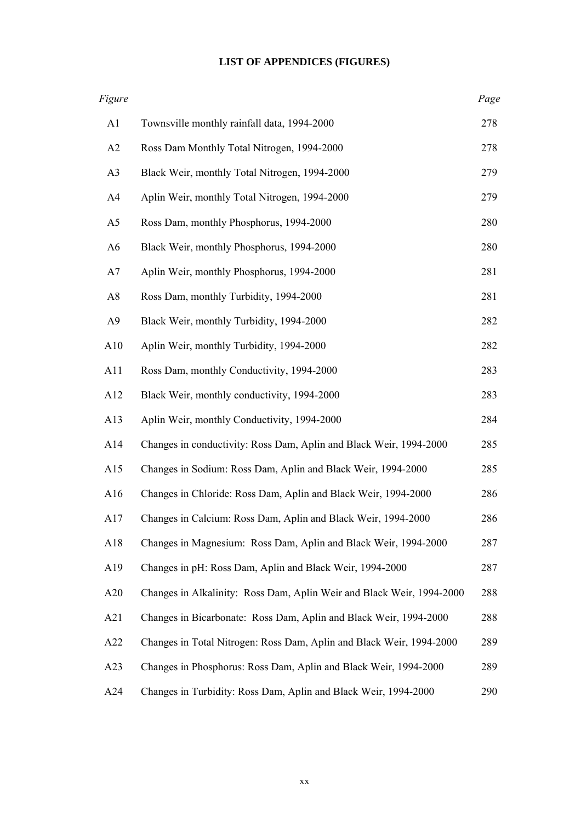# **LIST OF APPENDICES (FIGURES)**

| Figure         |                                                                       | Page |
|----------------|-----------------------------------------------------------------------|------|
| A1             | Townsville monthly rainfall data, 1994-2000                           | 278  |
| A2             | Ross Dam Monthly Total Nitrogen, 1994-2000                            | 278  |
| A <sub>3</sub> | Black Weir, monthly Total Nitrogen, 1994-2000                         | 279  |
| A <sub>4</sub> | Aplin Weir, monthly Total Nitrogen, 1994-2000                         | 279  |
| A <sub>5</sub> | Ross Dam, monthly Phosphorus, 1994-2000                               | 280  |
| A <sub>6</sub> | Black Weir, monthly Phosphorus, 1994-2000                             | 280  |
| A7             | Aplin Weir, monthly Phosphorus, 1994-2000                             | 281  |
| A8             | Ross Dam, monthly Turbidity, 1994-2000                                | 281  |
| A <sub>9</sub> | Black Weir, monthly Turbidity, 1994-2000                              | 282  |
| A10            | Aplin Weir, monthly Turbidity, 1994-2000                              | 282  |
| A11            | Ross Dam, monthly Conductivity, 1994-2000                             | 283  |
| A12            | Black Weir, monthly conductivity, 1994-2000                           | 283  |
| A13            | Aplin Weir, monthly Conductivity, 1994-2000                           | 284  |
| A14            | Changes in conductivity: Ross Dam, Aplin and Black Weir, 1994-2000    | 285  |
| A15            | Changes in Sodium: Ross Dam, Aplin and Black Weir, 1994-2000          | 285  |
| A16            | Changes in Chloride: Ross Dam, Aplin and Black Weir, 1994-2000        | 286  |
| A17            | Changes in Calcium: Ross Dam, Aplin and Black Weir, 1994-2000         | 286  |
| A18            | Changes in Magnesium: Ross Dam, Aplin and Black Weir, 1994-2000       | 287  |
| A19            | Changes in pH: Ross Dam, Aplin and Black Weir, 1994-2000              | 287  |
| A20            | Changes in Alkalinity: Ross Dam, Aplin Weir and Black Weir, 1994-2000 | 288  |
| A21            | Changes in Bicarbonate: Ross Dam, Aplin and Black Weir, 1994-2000     | 288  |
| A22            | Changes in Total Nitrogen: Ross Dam, Aplin and Black Weir, 1994-2000  | 289  |
| A23            | Changes in Phosphorus: Ross Dam, Aplin and Black Weir, 1994-2000      | 289  |
| A24            | Changes in Turbidity: Ross Dam, Aplin and Black Weir, 1994-2000       | 290  |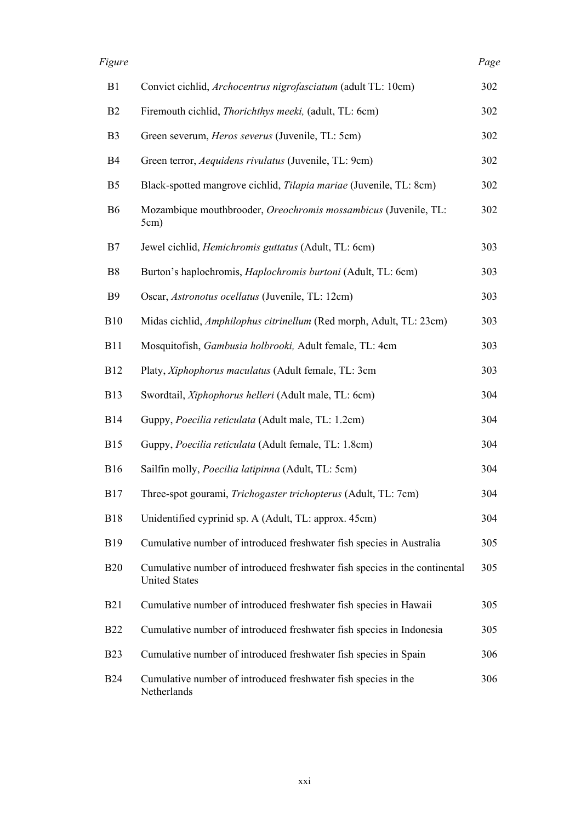| B1             | Convict cichlid, Archocentrus nigrofasciatum (adult TL: 10cm)                                      | 302 |
|----------------|----------------------------------------------------------------------------------------------------|-----|
| B <sub>2</sub> | Firemouth cichlid, <i>Thorichthys meeki</i> , (adult, TL: 6cm)                                     | 302 |
| B <sub>3</sub> | Green severum, <i>Heros severus</i> (Juvenile, TL: 5cm)                                            | 302 |
| <b>B4</b>      | Green terror, Aequidens rivulatus (Juvenile, TL: 9cm)                                              | 302 |
| B <sub>5</sub> | Black-spotted mangrove cichlid, Tilapia mariae (Juvenile, TL: 8cm)                                 | 302 |
| B <sub>6</sub> | Mozambique mouthbrooder, Oreochromis mossambicus (Juvenile, TL:<br>5cm)                            | 302 |
| B7             | Jewel cichlid, <i>Hemichromis guttatus</i> (Adult, TL: 6cm)                                        | 303 |
| B <sub>8</sub> | Burton's haplochromis, <i>Haplochromis burtoni</i> (Adult, TL: 6cm)                                | 303 |
| <b>B</b> 9     | Oscar, Astronotus ocellatus (Juvenile, TL: 12cm)                                                   | 303 |
| <b>B10</b>     | Midas cichlid, Amphilophus citrinellum (Red morph, Adult, TL: 23cm)                                | 303 |
| <b>B11</b>     | Mosquitofish, Gambusia holbrooki, Adult female, TL: 4cm                                            | 303 |
| <b>B12</b>     | Platy, Xiphophorus maculatus (Adult female, TL: 3cm                                                | 303 |
| <b>B13</b>     | Swordtail, Xiphophorus helleri (Adult male, TL: 6cm)                                               | 304 |
| <b>B14</b>     | Guppy, Poecilia reticulata (Adult male, TL: 1.2cm)                                                 | 304 |
| <b>B15</b>     | Guppy, Poecilia reticulata (Adult female, TL: 1.8cm)                                               | 304 |
| <b>B16</b>     | Sailfin molly, Poecilia latipinna (Adult, TL: 5cm)                                                 | 304 |
| <b>B</b> 17    | Three-spot gourami, Trichogaster trichopterus (Adult, TL: 7cm)                                     | 304 |
| <b>B18</b>     | Unidentified cyprinid sp. A (Adult, TL: approx. 45cm)                                              | 304 |
| <b>B</b> 19    | Cumulative number of introduced freshwater fish species in Australia                               | 305 |
| <b>B20</b>     | Cumulative number of introduced freshwater fish species in the continental<br><b>United States</b> | 305 |
| <b>B21</b>     | Cumulative number of introduced freshwater fish species in Hawaii                                  | 305 |
| <b>B22</b>     | Cumulative number of introduced freshwater fish species in Indonesia                               | 305 |
| <b>B23</b>     | Cumulative number of introduced freshwater fish species in Spain                                   | 306 |
| B24            | Cumulative number of introduced freshwater fish species in the<br>Netherlands                      | 306 |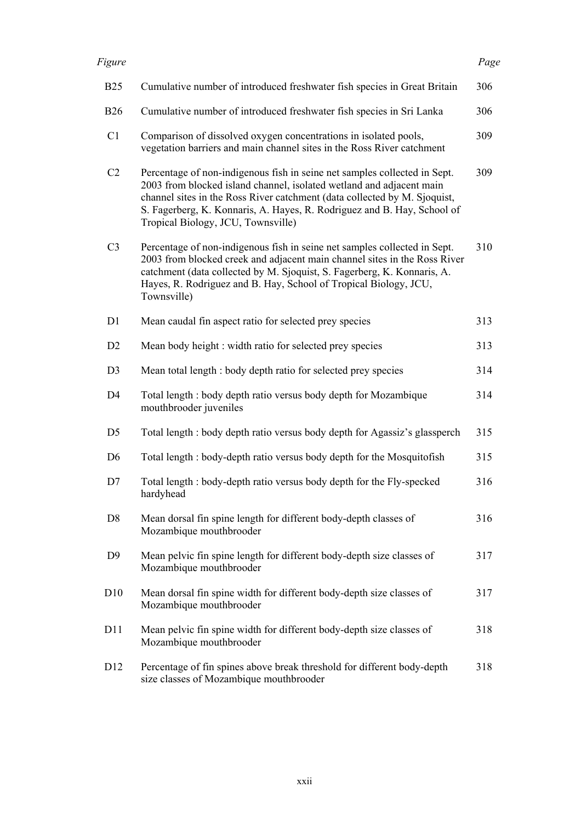| <b>B25</b>      | Cumulative number of introduced freshwater fish species in Great Britain                                                                                                                                                                                                                                                                        | 306 |
|-----------------|-------------------------------------------------------------------------------------------------------------------------------------------------------------------------------------------------------------------------------------------------------------------------------------------------------------------------------------------------|-----|
| <b>B26</b>      | Cumulative number of introduced freshwater fish species in Sri Lanka                                                                                                                                                                                                                                                                            | 306 |
| C <sub>1</sub>  | Comparison of dissolved oxygen concentrations in isolated pools,<br>vegetation barriers and main channel sites in the Ross River catchment                                                                                                                                                                                                      | 309 |
| C <sub>2</sub>  | Percentage of non-indigenous fish in seine net samples collected in Sept.<br>2003 from blocked island channel, isolated wetland and adjacent main<br>channel sites in the Ross River catchment (data collected by M. Sjoquist,<br>S. Fagerberg, K. Konnaris, A. Hayes, R. Rodriguez and B. Hay, School of<br>Tropical Biology, JCU, Townsville) | 309 |
| C <sub>3</sub>  | Percentage of non-indigenous fish in seine net samples collected in Sept.<br>2003 from blocked creek and adjacent main channel sites in the Ross River<br>catchment (data collected by M. Sjoquist, S. Fagerberg, K. Konnaris, A.<br>Hayes, R. Rodriguez and B. Hay, School of Tropical Biology, JCU,<br>Townsville)                            | 310 |
| D <sub>1</sub>  | Mean caudal fin aspect ratio for selected prey species                                                                                                                                                                                                                                                                                          | 313 |
| D <sub>2</sub>  | Mean body height: width ratio for selected prey species                                                                                                                                                                                                                                                                                         | 313 |
| D <sub>3</sub>  | Mean total length : body depth ratio for selected prey species                                                                                                                                                                                                                                                                                  | 314 |
| D <sub>4</sub>  | Total length : body depth ratio versus body depth for Mozambique<br>mouthbrooder juveniles                                                                                                                                                                                                                                                      | 314 |
| D <sub>5</sub>  | Total length : body depth ratio versus body depth for Agassiz's glassperch                                                                                                                                                                                                                                                                      | 315 |
| D <sub>6</sub>  | Total length : body-depth ratio versus body depth for the Mosquitofish                                                                                                                                                                                                                                                                          | 315 |
| D7              | Total length : body-depth ratio versus body depth for the Fly-specked<br>hardyhead                                                                                                                                                                                                                                                              | 316 |
| D <sub>8</sub>  | Mean dorsal fin spine length for different body-depth classes of<br>Mozambique mouthbrooder                                                                                                                                                                                                                                                     | 316 |
| D <sub>9</sub>  | Mean pelvic fin spine length for different body-depth size classes of<br>Mozambique mouthbrooder                                                                                                                                                                                                                                                | 317 |
| D10             | Mean dorsal fin spine width for different body-depth size classes of<br>Mozambique mouthbrooder                                                                                                                                                                                                                                                 | 317 |
| D11             | Mean pelvic fin spine width for different body-depth size classes of<br>Mozambique mouthbrooder                                                                                                                                                                                                                                                 | 318 |
| D <sub>12</sub> | Percentage of fin spines above break threshold for different body-depth<br>size classes of Mozambique mouthbrooder                                                                                                                                                                                                                              | 318 |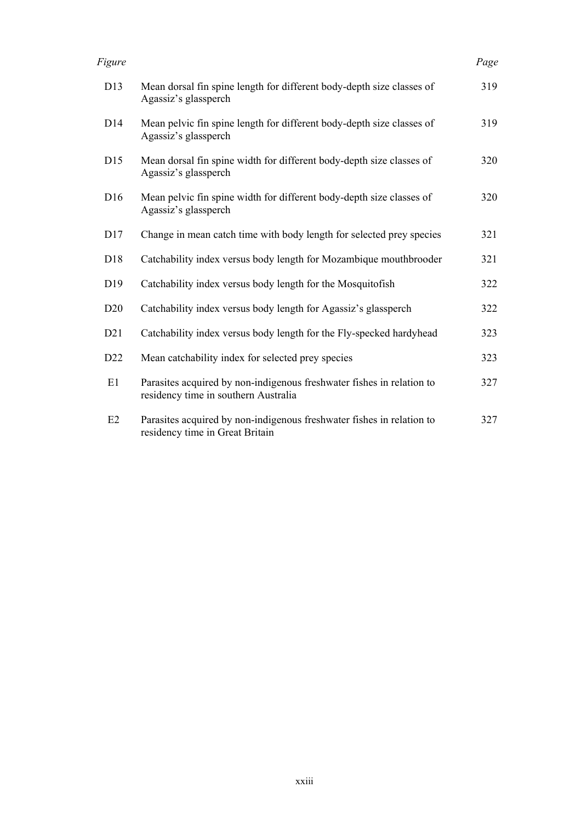| Figure          |                                                                                                               | Page |
|-----------------|---------------------------------------------------------------------------------------------------------------|------|
| D13             | Mean dorsal fin spine length for different body-depth size classes of<br>Agassiz's glassperch                 | 319  |
| D14             | Mean pelvic fin spine length for different body-depth size classes of<br>Agassiz's glassperch                 | 319  |
| D15             | Mean dorsal fin spine width for different body-depth size classes of<br>Agassiz's glassperch                  | 320  |
| D <sub>16</sub> | Mean pelvic fin spine width for different body-depth size classes of<br>Agassiz's glassperch                  | 320  |
| D17             | Change in mean catch time with body length for selected prey species                                          | 321  |
| D18             | Catchability index versus body length for Mozambique mouthbrooder                                             | 321  |
| D <sub>19</sub> | Catchability index versus body length for the Mosquitofish                                                    | 322  |
| D20             | Catchability index versus body length for Agassiz's glassperch                                                | 322  |
| D21             | Catchability index versus body length for the Fly-specked hardyhead                                           | 323  |
| D22             | Mean catchability index for selected prey species                                                             | 323  |
| E1              | Parasites acquired by non-indigenous freshwater fishes in relation to<br>residency time in southern Australia | 327  |
| E2              | Parasites acquired by non-indigenous freshwater fishes in relation to<br>residency time in Great Britain      | 327  |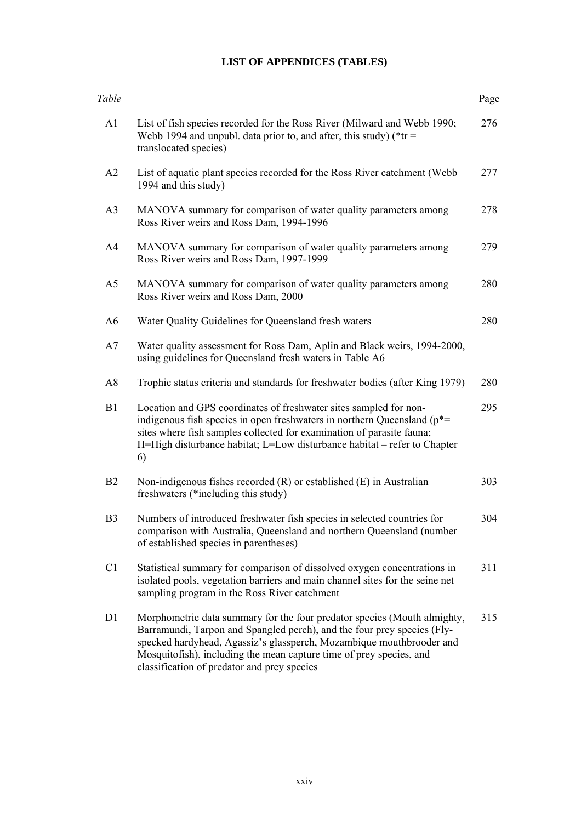# **LIST OF APPENDICES (TABLES)**

| Table          |                                                                                                                                                                                                                                                                                                                                                   | Page |
|----------------|---------------------------------------------------------------------------------------------------------------------------------------------------------------------------------------------------------------------------------------------------------------------------------------------------------------------------------------------------|------|
| A1             | List of fish species recorded for the Ross River (Milward and Webb 1990;<br>Webb 1994 and unpubl. data prior to, and after, this study) ( $*$ tr =<br>translocated species)                                                                                                                                                                       | 276  |
| A2             | List of aquatic plant species recorded for the Ross River catchment (Webb)<br>1994 and this study)                                                                                                                                                                                                                                                | 277  |
| A <sub>3</sub> | MANOVA summary for comparison of water quality parameters among<br>Ross River weirs and Ross Dam, 1994-1996                                                                                                                                                                                                                                       | 278  |
| A4             | MANOVA summary for comparison of water quality parameters among<br>Ross River weirs and Ross Dam, 1997-1999                                                                                                                                                                                                                                       | 279  |
| A5             | MANOVA summary for comparison of water quality parameters among<br>Ross River weirs and Ross Dam, 2000                                                                                                                                                                                                                                            | 280  |
| A6             | Water Quality Guidelines for Queensland fresh waters                                                                                                                                                                                                                                                                                              | 280  |
| A7             | Water quality assessment for Ross Dam, Aplin and Black weirs, 1994-2000,<br>using guidelines for Queensland fresh waters in Table A6                                                                                                                                                                                                              |      |
| A8             | Trophic status criteria and standards for freshwater bodies (after King 1979)                                                                                                                                                                                                                                                                     | 280  |
| B1             | Location and GPS coordinates of freshwater sites sampled for non-<br>indigenous fish species in open freshwaters in northern Queensland ( $p^*$ =<br>sites where fish samples collected for examination of parasite fauna;<br>H=High disturbance habitat; L=Low disturbance habitat - refer to Chapter<br>6)                                      | 295  |
| B <sub>2</sub> | Non-indigenous fishes recorded $(R)$ or established $(E)$ in Australian<br>freshwaters (*including this study)                                                                                                                                                                                                                                    | 303  |
| B <sub>3</sub> | Numbers of introduced freshwater fish species in selected countries for<br>comparison with Australia, Queensland and northern Queensland (number<br>of established species in parentheses)                                                                                                                                                        | 304  |
| C <sub>1</sub> | Statistical summary for comparison of dissolved oxygen concentrations in<br>isolated pools, vegetation barriers and main channel sites for the seine net<br>sampling program in the Ross River catchment                                                                                                                                          | 311  |
| D1             | Morphometric data summary for the four predator species (Mouth almighty,<br>Barramundi, Tarpon and Spangled perch), and the four prey species (Fly-<br>specked hardyhead, Agassiz's glassperch, Mozambique mouthbrooder and<br>Mosquitofish), including the mean capture time of prey species, and<br>classification of predator and prey species | 315  |